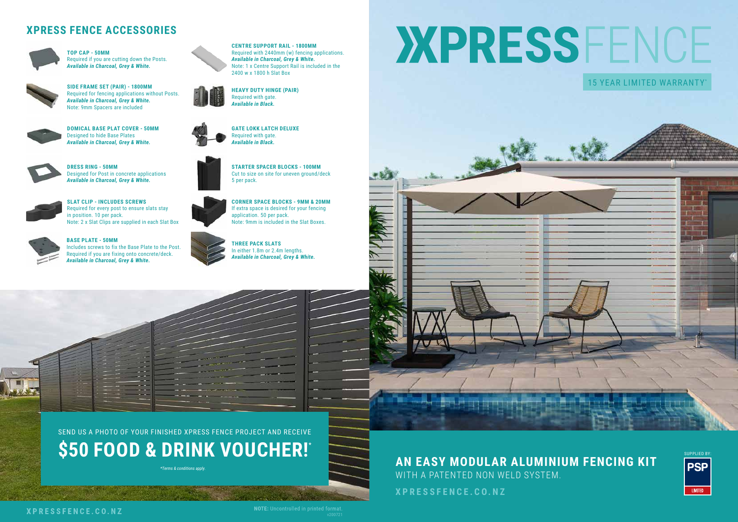

## **XPRESSFENCE.CO.NZ**





*\*Terms & conditions apply.*



**\$50 FOOD & DRINK VOUCHER!\***

# **XPRESS FENCE ACCESSORIES**



**TOP CAP - 50MM** Required if you are cutting down the Posts. *Available in Charcoal, Grey & White.*



**BASE PLATE - 50MM** Includes screws to fix the Base Plate to the Post. Required if you are fixing onto concrete/deck. *Available in Charcoal, Grey & White.*



**DOMICAL BASE PLAT COVER - 50MM** Designed to hide Base Plates *Available in Charcoal, Grey & White.*



**DRESS RING - 50MM** Designed for Post in concrete applications *Available in Charcoal, Grey & White.*



**SLAT CLIP - INCLUDES SCREWS** Required for every post to ensure slats stay in position. 10 per pack. Note: 2 x Slat Clips are supplied in each Slat Box



# XPRESSFENCE 15 YEAR LIMITED WARRANTY\*





**CORNER SPACE BLOCKS - 9MM & 20MM** If extra space is desired for your fencing application. 50 per pack. Note: 9mm is included in the Slat Boxes.

**THREE PACK SLATS** In either 1.8m or 2.4m lengths. *Available in Charcoal, Grey & White.*

**STARTER SPACER BLOCKS - 100MM** Cut to size on site for uneven ground/deck



5 per pack.





**SIDE FRAME SET (PAIR) - 1800MM** Required for fencing applications without Posts. *Available in Charcoal, Grey & White.* Note: 9mm Spacers are included



**HEAVY DUTY HINGE (PAIR)** Required with gate. *Available in Black.*



**GATE LOKK LATCH DELUXE** Required with gate. *Available in Black.*